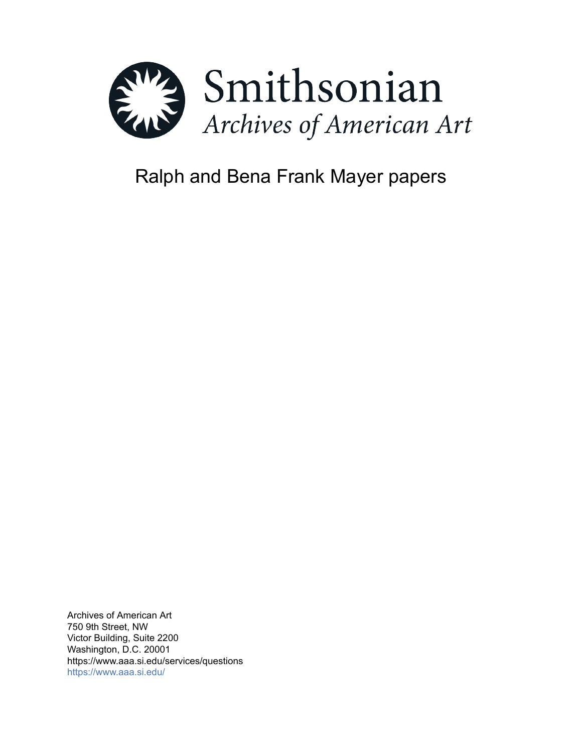

# Ralph and Bena Frank Mayer papers

Archives of American Art 750 9th Street, NW Victor Building, Suite 2200 Washington, D.C. 20001 https://www.aaa.si.edu/services/questions <https://www.aaa.si.edu/>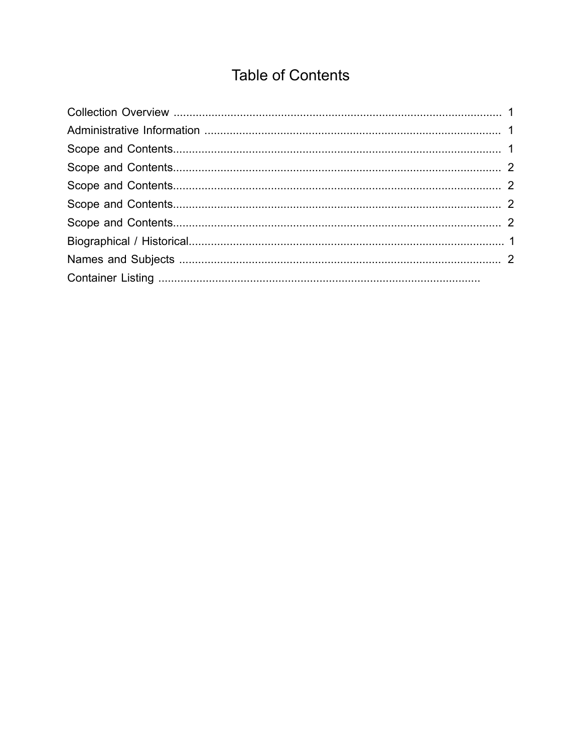## **Table of Contents**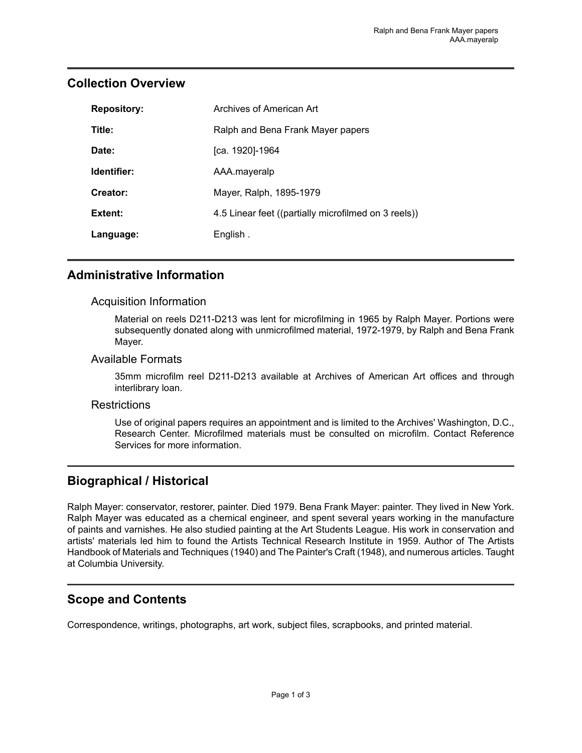| <b>Repository:</b> | Archives of American Art                             |
|--------------------|------------------------------------------------------|
| Title:             | Ralph and Bena Frank Mayer papers                    |
| Date:              | [ca. 1920]-1964                                      |
| Identifier:        | AAA.mayeralp                                         |
| Creator:           | Mayer, Ralph, 1895-1979                              |
| Extent:            | 4.5 Linear feet ((partially microfilmed on 3 reels)) |
| Language:          | English.                                             |

#### <span id="page-2-0"></span>**Collection Overview**

#### <span id="page-2-1"></span>**Administrative Information**

#### Acquisition Information

Material on reels D211-D213 was lent for microfilming in 1965 by Ralph Mayer. Portions were subsequently donated along with unmicrofilmed material, 1972-1979, by Ralph and Bena Frank Mayer.

#### Available Formats

35mm microfilm reel D211-D213 available at Archives of American Art offices and through interlibrary loan.

#### **Restrictions**

Use of original papers requires an appointment and is limited to the Archives' Washington, D.C., Research Center. Microfilmed materials must be consulted on microfilm. Contact Reference Services for more information.

#### <span id="page-2-3"></span>**Biographical / Historical**

Ralph Mayer: conservator, restorer, painter. Died 1979. Bena Frank Mayer: painter. They lived in New York. Ralph Mayer was educated as a chemical engineer, and spent several years working in the manufacture of paints and varnishes. He also studied painting at the Art Students League. His work in conservation and artists' materials led him to found the Artists Technical Research Institute in 1959. Author of The Artists Handbook of Materials and Techniques (1940) and The Painter's Craft (1948), and numerous articles. Taught at Columbia University.

## <span id="page-2-2"></span>**Scope and Contents**

Correspondence, writings, photographs, art work, subject files, scrapbooks, and printed material.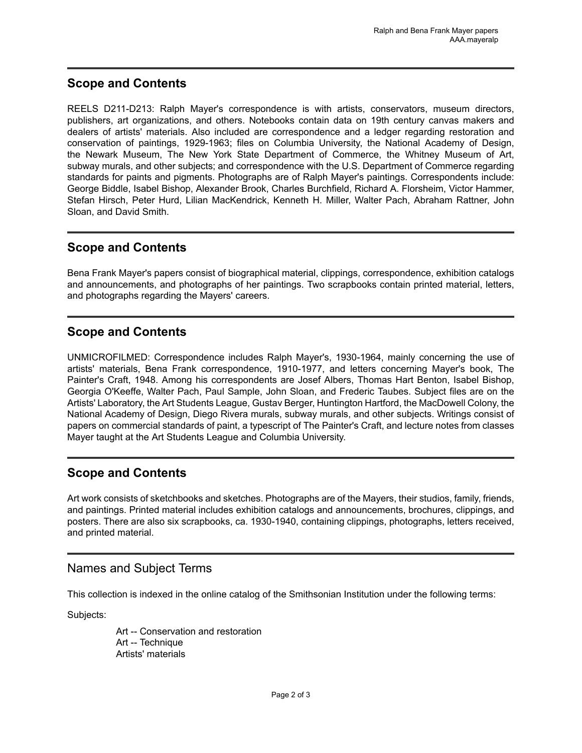#### <span id="page-3-0"></span>**Scope and Contents**

REELS D211-D213: Ralph Mayer's correspondence is with artists, conservators, museum directors, publishers, art organizations, and others. Notebooks contain data on 19th century canvas makers and dealers of artists' materials. Also included are correspondence and a ledger regarding restoration and conservation of paintings, 1929-1963; files on Columbia University, the National Academy of Design, the Newark Museum, The New York State Department of Commerce, the Whitney Museum of Art, subway murals, and other subjects; and correspondence with the U.S. Department of Commerce regarding standards for paints and pigments. Photographs are of Ralph Mayer's paintings. Correspondents include: George Biddle, Isabel Bishop, Alexander Brook, Charles Burchfield, Richard A. Florsheim, Victor Hammer, Stefan Hirsch, Peter Hurd, Lilian MacKendrick, Kenneth H. Miller, Walter Pach, Abraham Rattner, John Sloan, and David Smith.

## <span id="page-3-1"></span>**Scope and Contents**

Bena Frank Mayer's papers consist of biographical material, clippings, correspondence, exhibition catalogs and announcements, and photographs of her paintings. Two scrapbooks contain printed material, letters, and photographs regarding the Mayers' careers.

## <span id="page-3-2"></span>**Scope and Contents**

UNMICROFILMED: Correspondence includes Ralph Mayer's, 1930-1964, mainly concerning the use of artists' materials, Bena Frank correspondence, 1910-1977, and letters concerning Mayer's book, The Painter's Craft, 1948. Among his correspondents are Josef Albers, Thomas Hart Benton, Isabel Bishop, Georgia O'Keeffe, Walter Pach, Paul Sample, John Sloan, and Frederic Taubes. Subject files are on the Artists' Laboratory, the Art Students League, Gustav Berger, Huntington Hartford, the MacDowell Colony, the National Academy of Design, Diego Rivera murals, subway murals, and other subjects. Writings consist of papers on commercial standards of paint, a typescript of The Painter's Craft, and lecture notes from classes Mayer taught at the Art Students League and Columbia University.

## <span id="page-3-3"></span>**Scope and Contents**

Art work consists of sketchbooks and sketches. Photographs are of the Mayers, their studios, family, friends, and paintings. Printed material includes exhibition catalogs and announcements, brochures, clippings, and posters. There are also six scrapbooks, ca. 1930-1940, containing clippings, photographs, letters received, and printed material.

## <span id="page-3-4"></span>Names and Subject Terms

This collection is indexed in the online catalog of the Smithsonian Institution under the following terms:

Subjects:

Art -- Conservation and restoration Art -- Technique Artists' materials